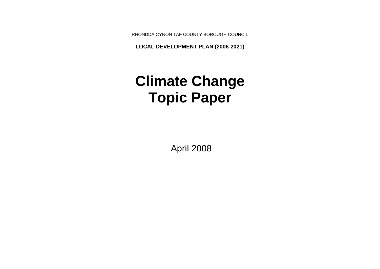RHONDDA CYNON TAF COUNTY BOROUGH COUNCIL

**LOCAL DEVELOPMENT PLAN (2006-2021)**

# **Climate Change Topic Paper**

April 2008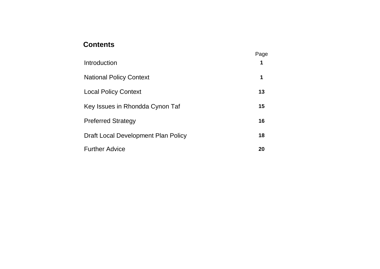# **Contents**

|                                     | Page |
|-------------------------------------|------|
| Introduction                        | 1    |
| <b>National Policy Context</b>      | 1    |
| <b>Local Policy Context</b>         | 13   |
| Key Issues in Rhondda Cynon Taf     | 15   |
| <b>Preferred Strategy</b>           | 16   |
| Draft Local Development Plan Policy | 18   |
| <b>Further Advice</b>               | 20   |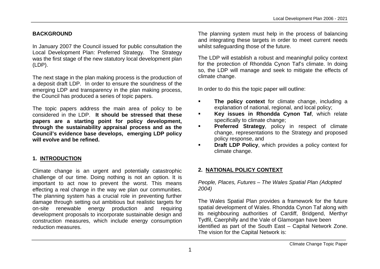#### **BACKGROUND**

In January 2007 the Council issued for public consultation the Local Development Plan: Preferred Strategy. The Strategy was the first stage of the new statutory local development plan (LDP).

The next stage in the plan making process is the production of a deposit draft LDP. In order to ensure the soundness of the emerging LDP and transparency in the plan making process, the Council has produced a series of topic papers.

The topic papers address the main area of policy to be considered in the LDP. **It should be stressed that these papers are a starting point for policy development, through the sustainability appraisal process and as the Council's evidence base develops, emerging LDP policy will evolve and be refined.**

#### **1. INTRODUCTION**

Climate change is an urgent and potentially catastrophic challenge of our time. Doing nothing is not an option. It is important to act now to prevent the worst. This means effecting a real change in the way we plan our communities. The planning system has a crucial role in preventing further damage through setting out ambitious but realistic targets for on-site renewable energy production and requiring development proposals to incorporate sustainable design and construction measures, which include energy consumption reduction measures.

The planning system must help in the process of balancing and integrating these targets in order to meet current needs whilst safeguarding those of the future.

The LDP will establish a robust and meaningful policy context for the protection of Rhondda Cynon Taf's climate. In doing so, the LDP will manage and seek to mitigate the effects of climate change.

In order to do this the topic paper will outline:

- **The policy context** for climate change, including a explanation of national, regional, and local policy;
- **Key issues in Rhondda Cynon Taf**, which relate specifically to climate change;
- **Preferred Strategy, policy in respect of climate** change, representations to the Strategy and proposed policy response, and
- **Praft LDP Policy, which provides a policy context for** climate change.

# **2. NATIONAL POLICY CONTEXT**

*People, Places, Futures – The Wales Spatial Plan (Adopted 2004)*

The Wales Spatial Plan provides a framework for the future spatial development of Wales. Rhondda Cynon Taf along with its neighbouring authorities of Cardiff, Bridgend, Merthyr Tydfil, Caerphilly and the Vale of Glamorgan have been identified as part of the South East – Capital Network Zone. The vision for the Capital Network is: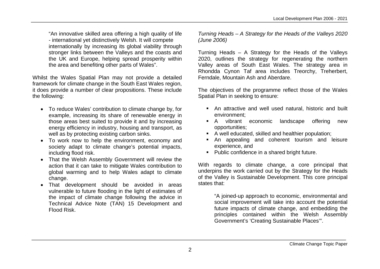"An innovative skilled area offering a high quality of life - international yet distinctively Welsh. It will compete internationally by increasing its global viability through stronger links between the Valleys and the coasts and the UK and Europe, helping spread prosperity within the area and benefiting other parts of Wales".

Whilst the Wales Spatial Plan may not provide a detailed framework for climate change in the South East Wales region, it does provide a number of clear propositions. These include the following:

- To reduce Wales' contribution to climate change by, for example, increasing its share of renewable energy in those areas best suited to provide it and by increasing energy efficiency in industry, housing and transport, as well as by protecting existing carbon sinks.
- To work now to help the environment, economy and society adapt to climate change's potential impacts, including flood risk.
- That the Welsh Assembly Government will review the action that it can take to mitigate Wales contribution to global warming and to help Wales adapt to climate change.
- That development should be avoided in areas vulnerable to future flooding in the light of estimates of the impact of climate change following the advice in Technical Advice Note (TAN) 15 Development and Flood Risk.

*Turning Heads – A Strategy for the Heads of the Valleys 2020 (June 2006)*

Turning Heads – A Strategy for the Heads of the Valleys 2020, outlines the strategy for regenerating the northern Valley areas of South East Wales. The strategy area in Rhondda Cynon Taf area includes Treorchy, Treherbert, Ferndale, Mountain Ash and Aberdare.

The objectives of the programme reflect those of the Wales Spatial Plan in seeking to ensure:

- An attractive and well used natural, historic and built environment;
- A vibrant economic landscape offering new opportunities;
- A well educated, skilled and healthier population;
- An appealing and coherent tourism and leisure experience, and
- **Public confidence in a shared bright future.**

With regards to climate change, a core principal that underpins the work carried out by the Strategy for the Heads of the Valley is Sustainable Development. This core principal states that:

> "A joined-up approach to economic, environmental and social improvement will take into account the potential future impacts of climate change, and embedding the principles contained within the Welsh Assembly Government's 'Creating Sustainable Places'".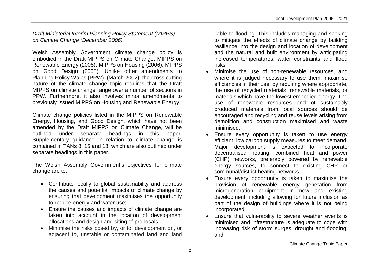#### *Draft Ministerial Interim Planning Policy Statement (MIPPS) on Climate Change (December 2006)*

Welsh Assembly Government climate change policy is embodied in the Draft MIPPS on Climate Change; MIPPS on Renewable Energy (2005); MIPPS on Housing (2006); MIPPS on Good Design (2008). Unlike other amendments to Planning Policy Wales (PPW) (March 2002), the cross cutting nature of the climate change topic requires that the Draft MIPPS on climate change range over a number of sections in PPW. Furthermore, it also involves minor amendments to previously issued MIPPS on Housing and Renewable Energy.

Climate change policies listed in the MIPPS on Renewable Energy, Housing, and Good Design, which have not been amended by the Draft MIPPS on Climate Change, will be outlined under separate headings in this paper. Supplementary quidance in relation to climate change is contained in TANs 8, 15 and 18, which are also outlined under separate headings in this paper.

The Welsh Assembly Government's objectives for climate change are to:

- Contribute locally to global sustainability and address the causes and potential impacts of climate change by ensuring that development maximises the opportunity to reduce energy and water use;
- Ensure the causes and impacts of climate change are taken into account in the location of development allocations and design and siting of proposals;
- Minimise the risks posed by, or to, development on, or adjacent to, unstable or contaminated land and land

liable to flooding. This includes managing and seeking to mitigate the effects of climate change by building resilience into the design and location of development and the natural and built environment by anticipating increased temperatures, water constraints and flood risks;

- Minimise the use of non-renewable resources, and where it is judged necessary to use them, maximise efficiencies in their use, by requiring where appropriate, the use of recycled materials, renewable materials, or materials which have the lowest embodied energy. The use of renewable resources and of sustainably produced materials from local sources should be encouraged and recycling and reuse levels arising from demolition and construction maximised and waste minimised;
- Ensure every opportunity is taken to use energy efficient, low carbon supply measures to meet demand. Major development is expected to incorporate decentralised heating, combined heat and power (CHP) networks, preferably powered by renewable energy sources, to connect to existing CHP or communal/district heating networks.
- Ensure every opportunity is taken to maximise the provision of renewable energy generation from microgeneration equipment in new and existing development, including allowing for future inclusion as part of the design of buildings where it is not being incorporated;
- Ensure that vulnerability to severe weather events is minimised and infrastructure is adequate to cope with increasing risk of storm surges, drought and flooding; and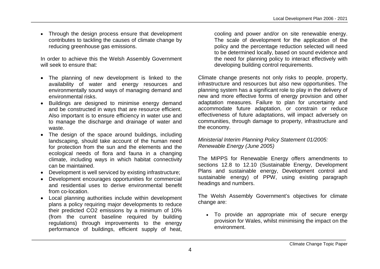• Through the design process ensure that development contributes to tackling the causes of climate change by reducing greenhouse gas emissions.

In order to achieve this the Welsh Assembly Government will seek to ensure that:

- The planning of new development is linked to the availability of water and energy resources and environmentally sound ways of managing demand and environmental risks.
- Buildings are designed to minimise energy demand and be constructed in ways that are resource efficient. Also important is to ensure efficiency in water use and to manage the discharge and drainage of water and waste.
- The design of the space around buildings, including landscaping, should take account of the human need for protection from the sun and the elements and the ecological needs of flora and fauna in a changing climate, including ways in which habitat connectivity can be maintained.
- Development is well serviced by existing infrastructure;
- Development encourages opportunities for commercial and residential uses to derive environmental benefit from co-location.
- Local planning authorities include within development plans a policy requiring major developments to reduce their predicted CO2 emissions by a minimum of 10% (from the current baseline required by building regulations) through improvements to the energy performance of buildings, efficient supply of heat,

cooling and power and/or on site renewable energy. The scale of development for the application of the policy and the percentage reduction selected will need to be determined locally, based on sound evidence and the need for planning policy to interact effectively with developing building control requirements.

Climate change presents not only risks to people, property, infrastructure and resources but also new opportunities. The planning system has a significant role to play in the delivery of new and more effective forms of energy provision and other adaptation measures. Failure to plan for uncertainty and accommodate future adaptation, or constrain or reduce effectiveness of future adaptations, will impact adversely on communities, through damage to property, infrastructure and the economy.

#### *Ministerial Interim Planning Policy Statement 01/2005: Renewable Energy (June 2005)*

The MIPPS for Renewable Energy offers amendments to sections 12.8 to 12.10 (Sustainable Energy, Development Plans and sustainable energy, Development control and sustainable energy) of PPW, using existing paragraph headings and numbers.

The Welsh Assembly Government's objectives for climate change are:

 To provide an appropriate mix of secure energy provision for Wales, whilst minimising the impact on the environment.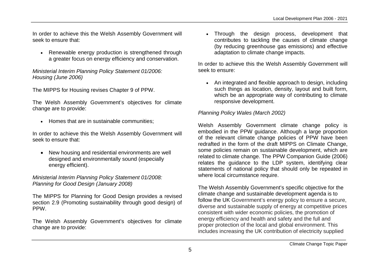In order to achieve this the Welsh Assembly Government will seek to ensure that:

• Renewable energy production is strengthened through a greater focus on energy efficiency and conservation.

*Ministerial Interim Planning Policy Statement 01/2006: Housing (June 2006)*

The MIPPS for Housing revises Chapter 9 of PPW.

The Welsh Assembly Government's objectives for climate change are to provide:

• Homes that are in sustainable communities:

In order to achieve this the Welsh Assembly Government will seek to ensure that:

• New housing and residential environments are well designed and environmentally sound (especially energy efficient).

*Ministerial Interim Planning Policy Statement 01/2008: Planning for Good Design (January 2008)*

The MIPPS for Planning for Good Design provides a revised section 2.9 (Promoting sustainability through good design) of PPW.

The Welsh Assembly Government's objectives for climate change are to provide:

• Through the design process, development that contributes to tackling the causes of climate change (by reducing greenhouse gas emissions) and effective adaptation to climate change impacts.

In order to achieve this the Welsh Assembly Government will seek to ensure:

• An integrated and flexible approach to design, including such things as location, density, layout and built form, which be an appropriate way of contributing to climate responsive development.

#### *Planning Policy Wales (March 2002)*

Welsh Assembly Government climate change policy is embodied in the PPW guidance. Although a large proportion of the relevant climate change policies of PPW have been redrafted in the form of the draft MIPPS on Climate Change, some policies remain on sustainable development, which are related to climate change. The PPW Companion Guide (2006) relates the guidance to the LDP system, identifying clear statements of national policy that should only be repeated in where local circumstance require.

The Welsh Assembly Government's specific objective for the climate change and sustainable development agenda is to follow the UK Government's energy policy to ensure a secure, diverse and sustainable supply of energy at competitive prices consistent with wider economic policies, the promotion of energy efficiency and health and safety and the full and proper protection of the local and global environment. This includes increasing the UK contribution of electricity supplied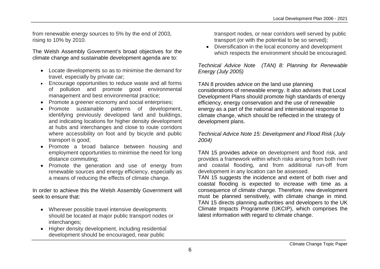from renewable energy sources to 5% by the end of 2003, rising to 10% by 2010.

The Welsh Assembly Government's broad objectives for the climate change and sustainable development agenda are to:

- Locate developments so as to minimise the demand for travel, especially by private car;
- Encourage opportunities to reduce waste and all forms of pollution and promote good environmental management and best environmental practice;
- Promote a greener economy and social enterprises;
- Promote sustainable patterns of development, identifying previously developed land and buildings, and indicating locations for higher density development at hubs and interchanges and close to route corridors where accessibility on foot and by bicycle and public transport is good;
- Promote a broad balance between housing and employment opportunities to minimise the need for long distance commuting;
- Promote the generation and use of energy from renewable sources and energy efficiency, especially as a means of reducing the effects of climate change.

In order to achieve this the Welsh Assembly Government will seek to ensure that:

- Wherever possible travel intensive developments should be located at major public transport nodes or interchanges;
- Higher density development, including residential development should be encouraged, near public

transport nodes, or near corridors well served by public transport (or with the potential to be so served);

 Diversification in the local economy and development which respects the environment should be encouraged.

*Technical Advice Note (TAN) 8: Planning for Renewable Energy (July 2005)*

TAN 8 provides advice on the land use planning considerations of renewable energy. It also advises that Local Development Plans should promote high standards of energy efficiency, energy conservation and the use of renewable energy as a part of the national and international response to climate change, which should be reflected in the strategy of development plans.

*Technical Advice Note 15: Development and Flood Risk (July 2004)*

TAN 15 provides advice on development and flood risk, and provides a framework within which risks arising from both river and coastal flooding, and from additional run-off from development in any location can be assessed.

TAN 15 suggests the incidence and extent of both river and coastal flooding is expected to increase with time as a consequence of climate change. Therefore, new development must be planned sensitively, with climate change in mind. TAN 15 directs planning authorities and developers to the UK Climate Impacts Programme (UKCIP), which comprises the latest information with regard to climate change.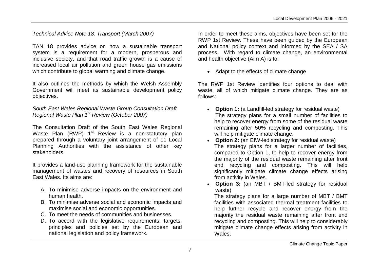*Technical Advice Note 18: Transport (March 2007)*

TAN 18 provides advice on how a sustainable transport system is a requirement for a modern, prosperous and inclusive society, and that road traffic growth is a cause of increased local air pollution and green house gas emissions which contribute to global warming and climate change.

It also outlines the methods by which the Welsh Assembly Government will meet its sustainable development policy objectives.

#### *South East Wales Regional Waste Group Consultation Draft Regional Waste Plan 1st Review (October 2007)*

The Consultation Draft of the South East Wales Regional Waste Plan  $(RWP)$  1<sup>st</sup> Review is a non-statutory plan prepared through a voluntary joint arrangement of 11 Local Planning Authorities with the assistance of other key stakeholders.

It provides a land-use planning framework for the sustainable management of wastes and recovery of resources in South East Wales. Its aims are:

- A. To minimise adverse impacts on the environment and human health.
- B. To minimise adverse social and economic impacts and maximise social and economic opportunities.
- C. To meet the needs of communities and businesses.
- D. To accord with the legislative requirements, targets, principles and policies set by the European and national legislation and policy framework.

In order to meet these aims, objectives have been set for the RWP 1st Review. These have been guided by the European and National policy context and informed by the SEA / SA process. With regard to climate change, an environmental and health objective (Aim A) is to:

• Adapt to the effects of climate change

The RWP 1st Review identifies four options to deal with waste, all of which mitigate climate change. They are as follows:

- **Option 1:** (a Landfill-led strategy for residual waste) The strategy plans for a small number of facilities to help to recover energy from some of the residual waste remaining after 50% recycling and composting. This will help mitigate climate change.
- **Option 2:** (an EfW-led strategy for residual waste) The strategy plans for a larger number of facilities, compared to Option 1, to help to recover energy from the majority of the residual waste remaining after front end recycling and composting. This will help significantly mitigate climate change effects arising from activity in Wales.
- **Option 3:** (an MBT / BMT-led strategy for residual waste)

The strategy plans for a large number of MBT / BMT facilities with associated thermal treatment facilities to help further recycle and recover energy from the majority the residual waste remaining after front end recycling and composting. This will help to considerably mitigate climate change effects arising from activity in Wales.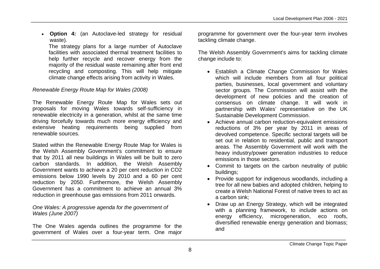**Option 4:** (an Autoclave-led strategy for residual waste).

The strategy plans for a large number of Autoclave facilities with associated thermal treatment facilities to help further recycle and recover energy from the majority of the residual waste remaining after front end recycling and composting. This will help mitigate climate change effects arising from activity in Wales.

# *Renewable Energy Route Map for Wales (2008)*

The Renewable Energy Route Map for Wales sets out proposals for moving Wales towards self-sufficiency in renewable electricity in a generation, whilst at the same time driving forcefully towards much more energy efficiency and extensive heating requirements being supplied from renewable sources.

Stated within the Renewable Energy Route Map for Wales is the Welsh Assembly Government's commitment to ensure that by 2011 all new buildings in Wales will be built to zero carbon standards. In addition, the Welsh Assembly Government wants to achieve a 20 per cent reduction in CO2 emissions below 1990 levels by 2010 and a 60 per cent reduction by 2050. Furthermore, the Welsh Assembly Government has a commitment to achieve an annual 3% reduction in greenhouse gas emissions from 2011 onwards.

*One Wales: A progressive agenda for the government of Wales (June 2007)*

The One Wales agenda outlines the programme for the government of Wales over a four-year term. One major

programme for government over the four-year term involves tackling climate change.

The Welsh Assembly Government's aims for tackling climate change include to:

- Establish a Climate Change Commission for Wales which will include members from all four political parties, businesses, local government and voluntary sector groups. The Commission will assist with the development of new policies and the creation of consensus on climate change. It will work in partnership with Wales' representative on the UK Sustainable Development Commission.
- Achieve annual carbon reduction-equivalent emissions reductions of 3% per year by 2011 in areas of devolved competence. Specific sectoral targets will be set out in relation to residential, public and transport areas. The Assembly Government will work with the heavy industry/power generation industries to reduce emissions in those sectors.
- Commit to targets on the carbon neutrality of public buildings;
- Provide support for indigenous woodlands, including a tree for all new babies and adopted children, helping to create a Welsh National Forest of native trees to act as a carbon sink;
- Draw up an Energy Strategy, which will be integrated with a planning framework, to include actions on energy efficiency, microgeneration, eco roofs, diversified renewable energy generation and biomass; and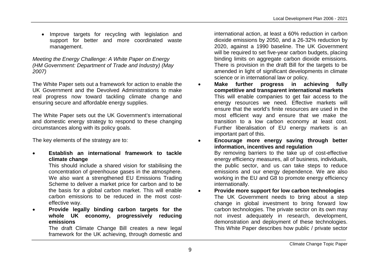• Improve targets for recycling with legislation and support for better and more coordinated waste management.

*Meeting the Energy Challenge: A White Paper on Energy (HM Government: Department of Trade and Industry) (May 2007)*

The White Paper sets out a framework for action to enable the UK Government and the Devolved Administrations to make real progress now toward tackling climate change and ensuring secure and affordable energy supplies.

The White Paper sets out the UK Government's international and domestic energy strategy to respond to these changing circumstances along with its policy goals.

The key elements of the strategy are to:

 **Establish an international framework to tackle climate change** 

> This should include a shared vision for stabilising the concentration of greenhouse gases in the atmosphere. We also want a strengthened EU Emissions Trading Scheme to deliver a market price for carbon and to be the basis for a global carbon market. This will enable carbon emissions to be reduced in the most costeffective way.

 **Provide legally binding carbon targets for the whole UK economy, progressively reducing emissions** 

The draft Climate Change Bill creates a new legal framework for the UK achieving, through domestic and international action, at least a 60% reduction in carbon dioxide emissions by 2050, and a 26-32% reduction by 2020, against a 1990 baseline. The UK Government will be required to set five-year carbon budgets, placing binding limits on aggregate carbon dioxide emissions. There is provision in the draft Bill for the targets to be amended in light of significant developments in climate science or in international law or policy.

 **Make further progress in achieving fully competitive and transparent international markets**  This will enable companies to get fair access to the energy resources we need. Effective markets will ensure that the world's finite resources are used in the most efficient way and ensure that we make the transition to a low carbon economy at least cost. Further liberalisation of EU energy markets is an important part of this.

 **Encourage more energy saving through better information, incentives and regulation** 

By removing barriers to the take up of cost-effective energy efficiency measures, all of business, individuals, the public sector, and us can take steps to reduce emissions and our energy dependence. We are also working in the EU and G8 to promote energy efficiency internationally.

 **Provide more support for low carbon technologies** The UK Government needs to bring about a step change in global investment to bring forward low carbon technologies. The private sector on its own may not invest adequately in research, development, demonstration and deployment of these technologies. This White Paper describes how public / private sector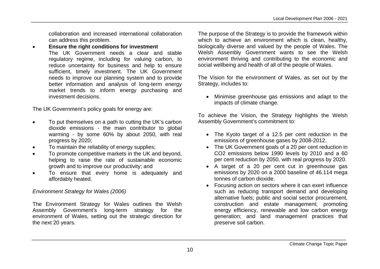collaboration and increased international collaboration can address this problem.

 **Ensure the right conditions for investment**  The UK Government needs a clear and stable regulatory regime, including for valuing carbon, to reduce uncertainty for business and help to ensure sufficient, timely investment. The UK Government needs to improve our planning system and to provide better information and analysis of long-term energy market trends to inform energy purchasing and investment decisions.

The UK Government's policy goals for energy are:

- To put themselves on a path to cutting the UK's carbon dioxide emissions - the main contributor to global warming - by some 60% by about 2050, with real progress by 2020;
- To maintain the reliability of energy supplies;
- To promote competitive markets in the UK and beyond, helping to raise the rate of sustainable economic growth and to improve our productivity; and
- To ensure that every home is adequately and affordably heated.

#### *Environment Strategy for Wales (2006)*

The Environment Strategy for Wales outlines the Welsh Assembly Government's long-term strategy for the environment of Wales, setting out the strategic direction for the next 20 years.

The purpose of the Strategy is to provide the framework within which to achieve an environment which is clean, healthy, biologically diverse and valued by the people of Wales. The Welsh Assembly Government wants to see the Welsh environment thriving and contributing to the economic and social wellbeing and health of all of the people of Wales.

The Vision for the environment of Wales, as set out by the Strategy, includes to:

 Minimise greenhouse gas emissions and adapt to the impacts of climate change.

To achieve the Vision, the Strategy highlights the Welsh Assembly Government's commitment to:

- The Kyoto target of a 12.5 per cent reduction in the emissions of greenhouse gases by 2008-2012.
- The UK Government goals of a 20 per cent reduction in CO2 emissions below 1990 levels by 2010 and a 60 per cent reduction by 2050, with real progress by 2020.
- A target of a 20 per cent cut in greenhouse gas emissions by 2020 on a 2000 baseline of 46.114 mega tonnes of carbon dioxide.
- Focusing action on sectors where it can exert influence such as reducing transport demand and developing alternative fuels; public and social sector procurement, construction and estate management; promoting energy efficiency, renewable and low carbon energy generation; and land management practices that preserve soil carbon.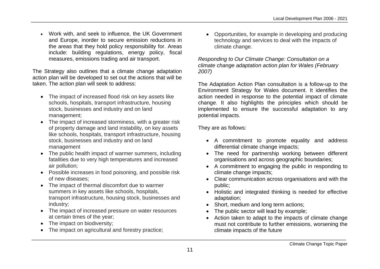Work with, and seek to influence, the UK Government and Europe, inorder to secure emission reductions in the areas that they hold policy responsibility for. Areas include: building regulations, energy policy, fiscal measures, emissions trading and air transport.

The Strategy also outlines that a climate change adaptation action plan will be developed to set out the actions that will be taken. The action plan will seek to address:

- The impact of increased flood risk on key assets like schools, hospitals, transport infrastructure, housing stock, businesses and industry and on land management;
- The impact of increased storminess, with a greater risk of property damage and land instability, on key assets like schools, hospitals, transport infrastructure, housing stock, businesses and industry and on land management
- The public health impact of warmer summers, including fatalities due to very high temperatures and increased air pollution;
- Possible increases in food poisoning, and possible risk of new diseases;
- The impact of thermal discomfort due to warmer summers in key assets like schools, hospitals, transport infrastructure, housing stock, businesses and industry;
- The impact of increased pressure on water resources at certain times of the year;
- The impact on biodiversity;
- The impact on agricultural and forestry practice;

 Opportunities, for example in developing and producing technology and services to deal with the impacts of climate change.

*Responding to Our Climate Change: Consultation on a climate change adaptation action plan for Wales (February 2007)*

The Adaptation Action Plan consultation is a follow-up to the Environment Strategy for Wales document. It identifies the action needed in response to the potential impact of climate change. It also highlights the principles which should be implemented to ensure the successful adaptation to any potential impacts.

They are as follows:

- A commitment to promote equality and address differential climate change impacts;
- The need for partnership working between different organisations and across geographic boundaries;
- A commitment to engaging the public in responding to climate change impacts;
- Clear communication across organisations and with the public;
- Holistic and integrated thinking is needed for effective adaptation;
- Short, medium and long term actions;
- The public sector will lead by example;
- Action taken to adapt to the impacts of climate change must not contribute to further emissions, worsening the climate impacts of the future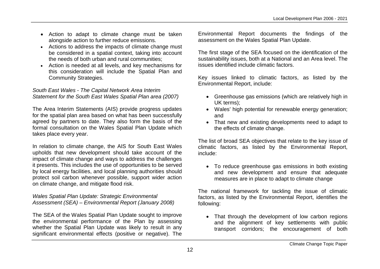- Action to adapt to climate change must be taken alongside action to further reduce emissions.
- Actions to address the impacts of climate change must be considered in a spatial context, taking into account the needs of both urban and rural communities;
- Action is needed at all levels, and key mechanisms for this consideration will include the Spatial Plan and Community Strategies.

#### *South East Wales - The Capital Network Area Interim Statement for the South East Wales Spatial Plan area (2007)*

The Area Interim Statements (AIS) provide progress updates for the spatial plan area based on what has been successfully agreed by partners to date. They also form the basis of the formal consultation on the Wales Spatial Plan Update which takes place every year.

In relation to climate change, the AIS for South East Wales upholds that new development should take account of the impact of climate change and ways to address the challenges it presents. This includes the use of opportunities to be served by local energy facilities, and local planning authorities should protect soil carbon whenever possible, support wider action on climate change, and mitigate flood risk.

#### *Wales Spatial Plan Update: Strategic Environmental Assessment (SEA) – Environmental Report (January 2008)*

The SEA of the Wales Spatial Plan Update sought to improve the environmental performance of the Plan by assessing whether the Spatial Plan Update was likely to result in any significant environmental effects (positive or negative). The Environmental Report documents the findings of the assessment on the Wales Spatial Plan Update.

The first stage of the SEA focused on the identification of the sustainability issues, both at a National and an Area level. The issues identified include climatic factors.

Key issues linked to climatic factors, as listed by the Environmental Report, include:

- Greenhouse gas emissions (which are relatively high in UK terms);
- Wales' high potential for renewable energy generation; and
- That new and existing developments need to adapt to the effects of climate change.

The list of broad SEA objectives that relate to the key issue of climatic factors, as listed by the Environmental Report, include:

 To reduce greenhouse gas emissions in both existing and new development and ensure that adequate measures are in place to adapt to climate change

The national framework for tackling the issue of climatic factors, as listed by the Environmental Report, identifies the following:

• That through the development of low carbon regions and the alignment of key settlements with public transport corridors; the encouragement of both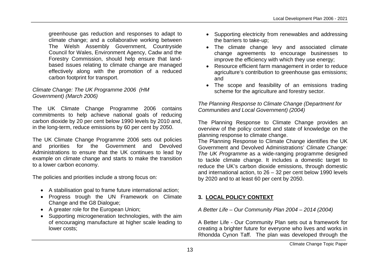greenhouse gas reduction and responses to adapt to climate change; and a collaborative working between The Welsh Assembly Government, Countryside Council for Wales, Environment Agency, Cadw and the Forestry Commission, should help ensure that landbased issues relating to climate change are managed effectively along with the promotion of a reduced carbon footprint for transport.

#### *Climate Change: The UK Programme 2006 (HM Government) (March 2006)*

The UK Climate Change Programme 2006 contains commitments to help achieve national goals of reducing carbon dioxide by 20 per cent below 1990 levels by 2010 and, in the long-term, reduce emissions by 60 per cent by 2050.

The UK Climate Change Programme 2006 sets out policies and priorities for the Government and Devolved Administrations to ensure that the UK continues to lead by example on climate change and starts to make the transition to a lower carbon economy.

The policies and priorities include a strong focus on:

- A stabilisation goal to frame future international action;
- Progress trough the UN Framework on Climate Change and the G8 Dialogue;
- A greater role for the European Union;
- Supporting microgeneration technologies, with the aim of encouraging manufacture at higher scale leading to lower costs;
- Supporting electricity from renewables and addressing the barriers to take-up;
- The climate change levy and associated climate change agreements to encourage businesses to improve the efficiency with which they use energy;
- Resource efficient farm management in order to reduce agriculture's contribution to greenhouse gas emissions; and
- The scope and feasibility of an emissions trading scheme for the agriculture and forestry sector.

#### *The Planning Response to Climate Change (Department for Communities and Local Government) (2004)*

The Planning Response to Climate Change provides an overview of the policy context and state of knowledge on the planning response to climate change.

The Planning Response to Climate Change identifies the UK Government and Devolved Administrations' *Climate Change: The UK Programme* as a wide-ranging programme designed to tackle climate change. It includes a domestic target to reduce the UK's carbon dioxide emissions, through domestic and international action, to 26 – 32 per cent below 1990 levels by 2020 and to at least 60 per cent by 2050.

# **3. LOCAL POLICY CONTEXT**

*A Better Life – Our Community Plan 2004 – 2014 (2004)*

A Better Life - Our Community Plan sets out a framework for creating a brighter future for everyone who lives and works in Rhondda Cynon Taff. The plan was developed through the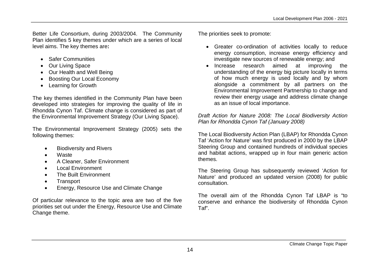Better Life Consortium, during 2003/2004. The Community Plan identifies 5 key themes under which are a series of local level aims. The key themes are**:**

- Safer Communities
- Our Living Space
- Our Health and Well Being
- Boosting Our Local Economy
- Learning for Growth

The key themes identified in the Community Plan have been developed into strategies for improving the quality of life in Rhondda Cynon Taf. Climate change is considered as part of the Environmental Improvement Strategy (Our Living Space).

The Environmental Improvement Strategy (2005) sets the following themes:

- Biodiversity and Rivers
- Waste
- A Cleaner, Safer Environment
- Local Environment
- The Built Environment
- Transport
- Energy, Resource Use and Climate Change

Of particular relevance to the topic area are two of the five priorities set out under the Energy, Resource Use and Climate Change theme.

The priorities seek to promote:

- Greater co-ordination of activities locally to reduce energy consumption, increase energy efficiency and investigate new sources of renewable energy; and
- Increase research aimed at improving the understanding of the energy big picture locally in terms of how much energy is used locally and by whom alongside a commitment by all partners on the Environmental Improvement Partnership to change and review their energy usage and address climate change as an issue of local importance.

*Draft Action for Nature 2008: The Local Biodiversity Action Plan for Rhondda Cynon Taf (January 2008)*

The Local Biodiversity Action Plan (LBAP) for Rhondda Cynon Taf 'Action for Nature' was first produced in 2000 by the LBAP Steering Group and contained hundreds of individual species and habitat actions, wrapped up in four main generic action themes.

The Steering Group has subsequently reviewed 'Action for Nature' and produced an updated version (2008) for public consultation.

The overall aim of the Rhondda Cynon Taf LBAP is "to conserve and enhance the biodiversity of Rhondda Cynon Taf".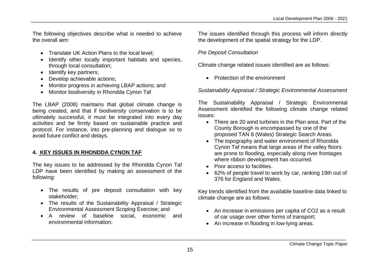The following objectives describe what is needed to achieve the overall aim:

- Translate UK Action Plans to the local level:
- Identify other locally important habitats and species, through local consultation;
- Identify key partners:
- Develop achievable actions;
- Monitor progress in achieving LBAP actions; and
- Monitor biodiversity in Rhondda Cynon Taf

The LBAP (2008) maintains that global climate change is being created, and that if biodiversity conservation is to be ultimately successful, it must be integrated into every day activities and be firmly based on sustainable practice and protocol. For instance, into pre-planning and dialogue so to avoid future conflict and delays.

#### **4. KEY ISSUES IN RHONDDA CYNON TAF**

The key issues to be addressed by the Rhondda Cynon Taf LDP have been identified by making an assessment of the following:

- The results of pre deposit consultation with key stakeholder;
- The results of the Sustainability Appraisal / Strategic Environmental Assessment Scoping Exercise; and
- A review of baseline social, economic and environmental information;

The issues identified through this process will inform directly the development of the spatial strategy for the LDP.

#### *Pre Deposit Consultation*

Climate change related issues identified are as follows:

• Protection of the environment

*Sustainability Appraisal / Strategic Environmental Assessment*

The Sustainability Appraisal / Strategic Environmental Assessment identified the following climate change related issues:

- There are 20 wind turbines in the Plan area. Part of the County Borough is encompassed by one of the proposed TAN 8 (Wales) Strategic Search Areas.
- The topography and water environment of Rhondda Cynon Taf means that large areas of the valley floors are prone to flooding, especially along river frontages where ribbon development has occurred.
- Poor access to facilities.
- 62% of people travel to work by car, ranking 19th out of 376 for England and Wales.

Key trends identified from the available baseline data linked to climate change are as follows:

- An increase in emissions per capita of CO2 as a result of car usage over other forms of transport;
- An increase in flooding in low-lying areas.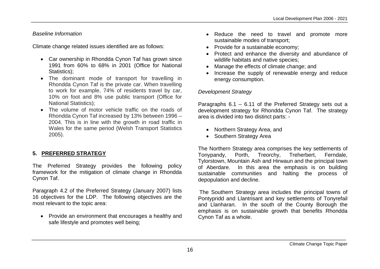# *Baseline Information*

Climate change related issues identified are as follows:

- Car ownership in Rhondda Cynon Taf has grown since 1991 from 60% to 68% in 2001 (Office for National Statistics);
- The dominant mode of transport for travelling in Rhondda Cynon Taf is the private car. When travelling to work for example, 74% of residents travel by car, 10% on foot and 8% use public transport (Office for National Statistics);
- The volume of motor vehicle traffic on the roads of Rhondda Cynon Taf increased by 13% between 1996 – 2004. This is in line with the growth in road traffic in Wales for the same period (Welsh Transport Statistics 2005).

# **5. PREFERRED STRATEGY**

The Preferred Strategy provides the following policy framework for the mitigation of climate change in Rhondda Cynon Taf.

Paragraph 4.2 of the Preferred Strategy (January 2007) lists 16 objectives for the LDP. The following objectives are the most relevant to the topic area:

• Provide an environment that encourages a healthy and safe lifestyle and promotes well being;

- Reduce the need to travel and promote more sustainable modes of transport;
- Provide for a sustainable economy;
- Protect and enhance the diversity and abundance of wildlife habitats and native species;
- Manage the effects of climate change; and
- Increase the supply of renewable energy and reduce energy consumption.

#### *Development Strategy*

Paragraphs 6.1 – 6.11 of the Preferred Strategy sets out a development strategy for Rhondda Cynon Taf. The strategy area is divided into two distinct parts: -

- Northern Strategy Area, and
- Southern Strategy Area

The Northern Strategy area comprises the key settlements of Tonypandy, Porth, Treorchy, Treherbert, Ferndale, Tylorstown, Mountain Ash and Hirwaun and the principal town of Aberdare. In this area the emphasis is on building sustainable communities and halting the process of depopulation and decline.

The Southern Strategy area includes the principal towns of Pontypridd and Llantrisant and key settlements of Tonyrefail and Llanharan. In the south of the County Borough the emphasis is on sustainable growth that benefits Rhondda Cynon Taf as a whole.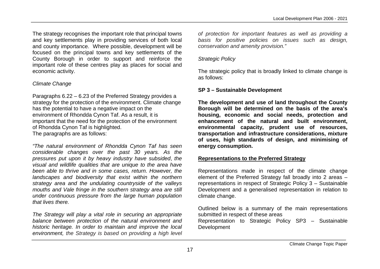The strategy recognises the important role that principal towns and key settlements play in providing services of both local and county importance. Where possible, development will be focused on the principal towns and key settlements of the County Borough in order to support and reinforce the important role of these centres play as places for social and economic activity.

# *Climate Change*

Paragraphs 6.22 – 6.23 of the Preferred Strategy provides a strategy for the protection of the environment. Climate change has the potential to have a negative impact on the environment of Rhondda Cynon Taf. As a result, it is important that the need for the protection of the environment of Rhondda Cynon Taf is highlighted. The paragraphs are as follows:

*"The natural environment of Rhondda Cynon Taf has seen considerable changes over the past 30 years. As the pressures put upon it by heavy industry have subsided*, *the visual and wildlife qualities that are unique to the area have been able to thrive and in some cases, return. However, the landscapes and biodiversity that exist within the northern strategy area and the undulating countryside of the valleys mouths and Vale fringe in the southern strategy area are still under continuous pressure from the large human population that lives there.*

*The Strategy will play a vital role in securing an appropriate balance between protection of the natural environment and historic heritage. In order to maintain and improve the local environment, the Strategy is based on providing a high level*  *of protection for important features as well as providing a basis for positive policies on issues such as design, conservation and amenity provision."*

# *Strategic Policy*

The strategic policy that is broadly linked to climate change is as follows:

# **SP 3 – Sustainable Development**

**The development and use of land throughout the County Borough will be determined on the basis of the area's housing, economic and social needs, protection and enhancement of the natural and built environment, environmental capacity, prudent use of resources, transportation and infrastructure considerations, mixture of uses, high standards of design, and minimising of energy consumption.**

# **Representations to the Preferred Strategy**

Representations made in respect of the climate change element of the Preferred Strategy fall broadly into 2 areas – representations in respect of Strategic Policy 3 – Sustainable Development and a generalised representation in relation to climate change.

Outlined below is a summary of the main representations submitted in respect of these areas Representation to Strategic Policy SP3 – Sustainable Development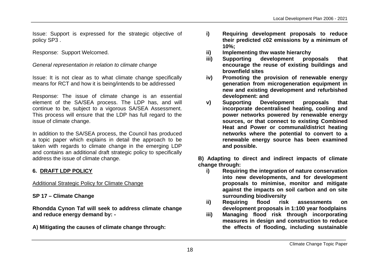Issue: Support is expressed for the strategic objective of policy SP3 .

Response: Support Welcomed.

*General representation in relation to climate change*

Issue: It is not clear as to what climate change specifically means for RCT and how it is being/intends to be addressed

Response: The issue of climate change is an essential element of the SA/SEA process. The LDP has, and will continue to be, subject to a vigorous SA/SEA Assessment. This process will ensure that the LDP has full regard to the issue of climate change.

In addition to the SA/SEA process, the Council has produced a topic paper which explains in detail the approach to be taken with regards to climate change in the emerging LDP and contains an additional draft strategic policy to specifically address the issue of climate change.

#### **6. DRAFT LDP POLICY**

Additional Strategic Policy for Climate Change

**SP 17 – Climate Change**

**Rhondda Cynon Taf will seek to address climate change and reduce energy demand by: -**

**A) Mitigating the causes of climate change through:**

- **i) Requiring development proposals to reduce their predicted c02 emissions by a minimum of 10%;**
- **ii) Implementing thw waste hierarchy**
- **iii) Supporting development proposals that encourage the reuse of existing buildings and brownfield sites**
- **iv) Promoting the provision of renewable energy generation from microgeneration equipment in new and existing development and refurbished development: and**
- **v) Supporting Development proposals that incorporate decentralised heating, cooling and power networks powered by renewable energy sources, or that connect to existing Combined Heat and Power or communal/district heating networks where the potential to convert to a renewable energy source has been examined and possible.**

**B) Adapting to direct and indirect impacts of climate change through:**

- **i) Requiring the integration of nature conservation into new developments, and for development proposals to minimise, monitor and mitigate against the impacts on soil carbon and on site surrounding biodiversity**
- **ii) Requiring flood risk assessments on development proposals in 1:100 year foodplains**
- **iii) Managing flood risk through incorporating measures in design and construction to reduce the effects of flooding, including sustainable**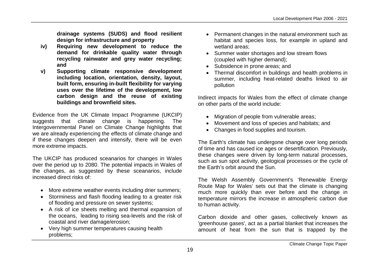**drainage systems (SUDS) and flood resilient design for infrastructure and property**

- **iv) Requiring new development to reduce the demand for drinkable quality water through recycling rainwater and grey water recycling; and**
- **v) Supporting climate responsive development including location, orientation, density, layout, built form, ensuring in-built flexibility for varying uses over the lifetime of the development, low carbon design and the reuse of existing buildings and brownfield sites.**

Evidence from the UK Climate Impact Programme (UKCIP) suggests that climate change is happening. The Intergovernmental Panel on Climate Change highlights that we are already experiencing the effects of climate change and if these changes deepen and intensify, there will be even more extreme impacts.

The UKCIP has produced sceanarios for changes in Wales over the period up to 2080. The potential impacts in Wales of the changes, as suggested by these sceanarios, include increased direct risks of:

- More extreme weather events including drier summers;
- Storminess and flash flooding leading to a greater risk of flooding and pressure on sewer systems;
- A risk of ice sheets melting and thermal expansion of the oceans, leading to rising sea-levels and the risk of coastal and river damage/erosion;
- Very high summer temperatures causing health problems;
- Permanent changes in the natural environment such as habitat and species loss, for example in upland and wetland areas;
- Summer water shortages and low stream flows (coupled with higher demand);
- Subsidence in prone areas; and
- Thermal discomfort in buildings and health problems in summer, including heat-related deaths linked to air pollution

Indirect impacts for Wales from the effect of climate change on other parts of the world include:

- Migration of people from vulnerable areas;
- Movement and loss of species and habitats; and
- Changes in food supplies and tourism.

The Earth's climate has undergone change over long periods of time and has caused ice ages or desertification. Previously, these changes were driven by long-term natural processes, such as sun spot activity, geological processes or the cycle of the Earth's orbit around the Sun.

The Welsh Assembly Government's 'Renewable Energy Route Map for Wales' sets out that the climate is changing much more quickly than ever before and the change in temperature mirrors the increase in atmospheric carbon due to human activity.

Carbon dioxide and other gases, collectively known as 'greenhouse gases', act as a partial blanket that increases the amount of heat from the sun that is trapped by the